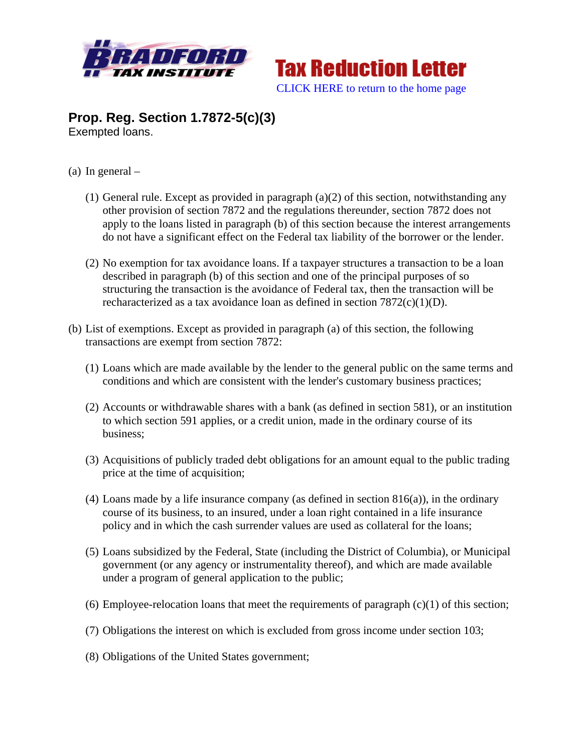



## **Prop. Reg. Section 1.7872-5(c)(3)**  Exempted loans.

- (a) In general
	- (1) General rule. Except as provided in paragraph  $(a)(2)$  of this section, notwithstanding any other provision of section 7872 and the regulations thereunder, section 7872 does not apply to the loans listed in paragraph (b) of this section because the interest arrangements do not have a significant effect on the Federal tax liability of the borrower or the lender.
	- (2) No exemption for tax avoidance loans. If a taxpayer structures a transaction to be a loan described in paragraph (b) of this section and one of the principal purposes of so structuring the transaction is the avoidance of Federal tax, then the transaction will be recharacterized as a tax avoidance loan as defined in section 7872(c)(1)(D).
- (b) List of exemptions. Except as provided in paragraph (a) of this section, the following transactions are exempt from section 7872:
	- (1) Loans which are made available by the lender to the general public on the same terms and conditions and which are consistent with the lender's customary business practices;
	- (2) Accounts or withdrawable shares with a bank (as defined in section 581), or an institution to which section 591 applies, or a credit union, made in the ordinary course of its business;
	- (3) Acquisitions of publicly traded debt obligations for an amount equal to the public trading price at the time of acquisition;
	- (4) Loans made by a life insurance company (as defined in section 816(a)), in the ordinary course of its business, to an insured, under a loan right contained in a life insurance policy and in which the cash surrender values are used as collateral for the loans;
	- (5) Loans subsidized by the Federal, State (including the District of Columbia), or Municipal government (or any agency or instrumentality thereof), and which are made available under a program of general application to the public;
	- (6) Employee-relocation loans that meet the requirements of paragraph  $(c)(1)$  of this section;
	- (7) Obligations the interest on which is excluded from gross income under section 103;
	- (8) Obligations of the United States government;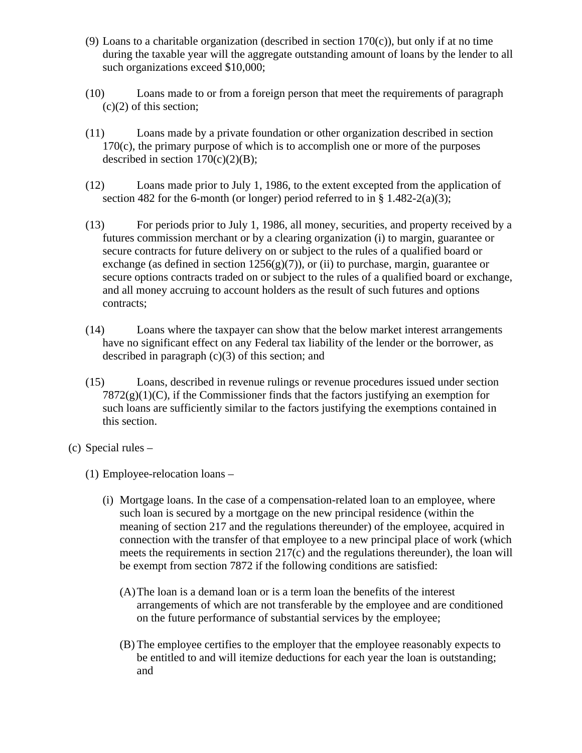- (9) Loans to a charitable organization (described in section  $170(c)$ ), but only if at no time during the taxable year will the aggregate outstanding amount of loans by the lender to all such organizations exceed \$10,000;
- (10) Loans made to or from a foreign person that meet the requirements of paragraph  $(c)(2)$  of this section;
- (11) Loans made by a private foundation or other organization described in section 170(c), the primary purpose of which is to accomplish one or more of the purposes described in section  $170(c)(2)(B)$ ;
- (12) Loans made prior to July 1, 1986, to the extent excepted from the application of section 482 for the 6-month (or longer) period referred to in  $\S$  1.482-2(a)(3);
- (13) For periods prior to July 1, 1986, all money, securities, and property received by a futures commission merchant or by a clearing organization (i) to margin, guarantee or secure contracts for future delivery on or subject to the rules of a qualified board or exchange (as defined in section  $1256(g)(7)$ ), or (ii) to purchase, margin, guarantee or secure options contracts traded on or subject to the rules of a qualified board or exchange, and all money accruing to account holders as the result of such futures and options contracts;
- (14) Loans where the taxpayer can show that the below market interest arrangements have no significant effect on any Federal tax liability of the lender or the borrower, as described in paragraph  $(c)(3)$  of this section; and
- (15) Loans, described in revenue rulings or revenue procedures issued under section  $7872(g)(1)(C)$ , if the Commissioner finds that the factors justifying an exemption for such loans are sufficiently similar to the factors justifying the exemptions contained in this section.
- (c) Special rules
	- (1) Employee-relocation loans
		- (i) Mortgage loans. In the case of a compensation-related loan to an employee, where such loan is secured by a mortgage on the new principal residence (within the meaning of section 217 and the regulations thereunder) of the employee, acquired in connection with the transfer of that employee to a new principal place of work (which meets the requirements in section 217(c) and the regulations thereunder), the loan will be exempt from section 7872 if the following conditions are satisfied:
			- (A)The loan is a demand loan or is a term loan the benefits of the interest arrangements of which are not transferable by the employee and are conditioned on the future performance of substantial services by the employee;
			- (B) The employee certifies to the employer that the employee reasonably expects to be entitled to and will itemize deductions for each year the loan is outstanding; and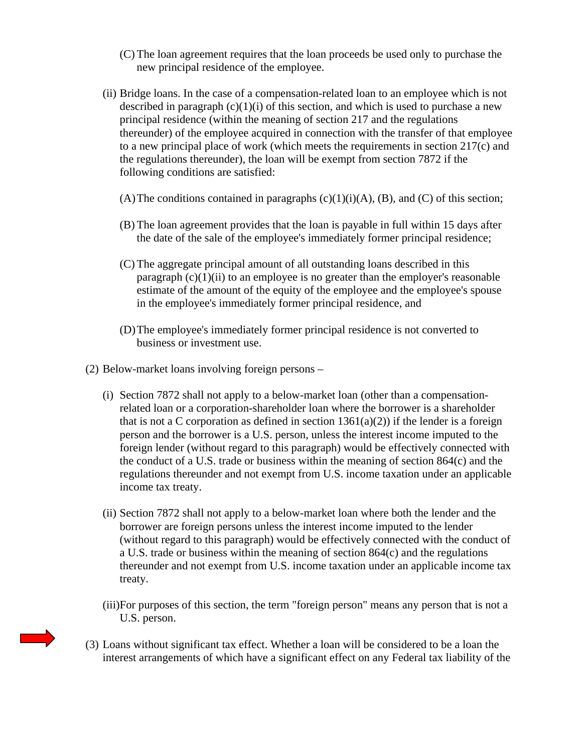- (C) The loan agreement requires that the loan proceeds be used only to purchase the new principal residence of the employee.
- (ii) Bridge loans. In the case of a compensation-related loan to an employee which is not described in paragraph  $(c)(1)(i)$  of this section, and which is used to purchase a new principal residence (within the meaning of section 217 and the regulations thereunder) of the employee acquired in connection with the transfer of that employee to a new principal place of work (which meets the requirements in section 217(c) and the regulations thereunder), the loan will be exempt from section 7872 if the following conditions are satisfied:
	- (A) The conditions contained in paragraphs  $(c)(1)(i)(A)$ ,  $(B)$ , and  $(C)$  of this section;
	- (B) The loan agreement provides that the loan is payable in full within 15 days after the date of the sale of the employee's immediately former principal residence;
	- (C) The aggregate principal amount of all outstanding loans described in this paragraph  $(c)(1)(ii)$  to an employee is no greater than the employer's reasonable estimate of the amount of the equity of the employee and the employee's spouse in the employee's immediately former principal residence, and
	- (D)The employee's immediately former principal residence is not converted to business or investment use.
- (2) Below-market loans involving foreign persons
	- (i) Section 7872 shall not apply to a below-market loan (other than a compensationrelated loan or a corporation-shareholder loan where the borrower is a shareholder that is not a C corporation as defined in section  $1361(a)(2)$  if the lender is a foreign person and the borrower is a U.S. person, unless the interest income imputed to the foreign lender (without regard to this paragraph) would be effectively connected with the conduct of a U.S. trade or business within the meaning of section 864(c) and the regulations thereunder and not exempt from U.S. income taxation under an applicable income tax treaty.
	- (ii) Section 7872 shall not apply to a below-market loan where both the lender and the borrower are foreign persons unless the interest income imputed to the lender (without regard to this paragraph) would be effectively connected with the conduct of a U.S. trade or business within the meaning of section 864(c) and the regulations thereunder and not exempt from U.S. income taxation under an applicable income tax treaty.
	- (iii)For purposes of this section, the term "foreign person" means any person that is not a U.S. person.
- (3) Loans without significant tax effect. Whether a loan will be considered to be a loan the interest arrangements of which have a significant effect on any Federal tax liability of the